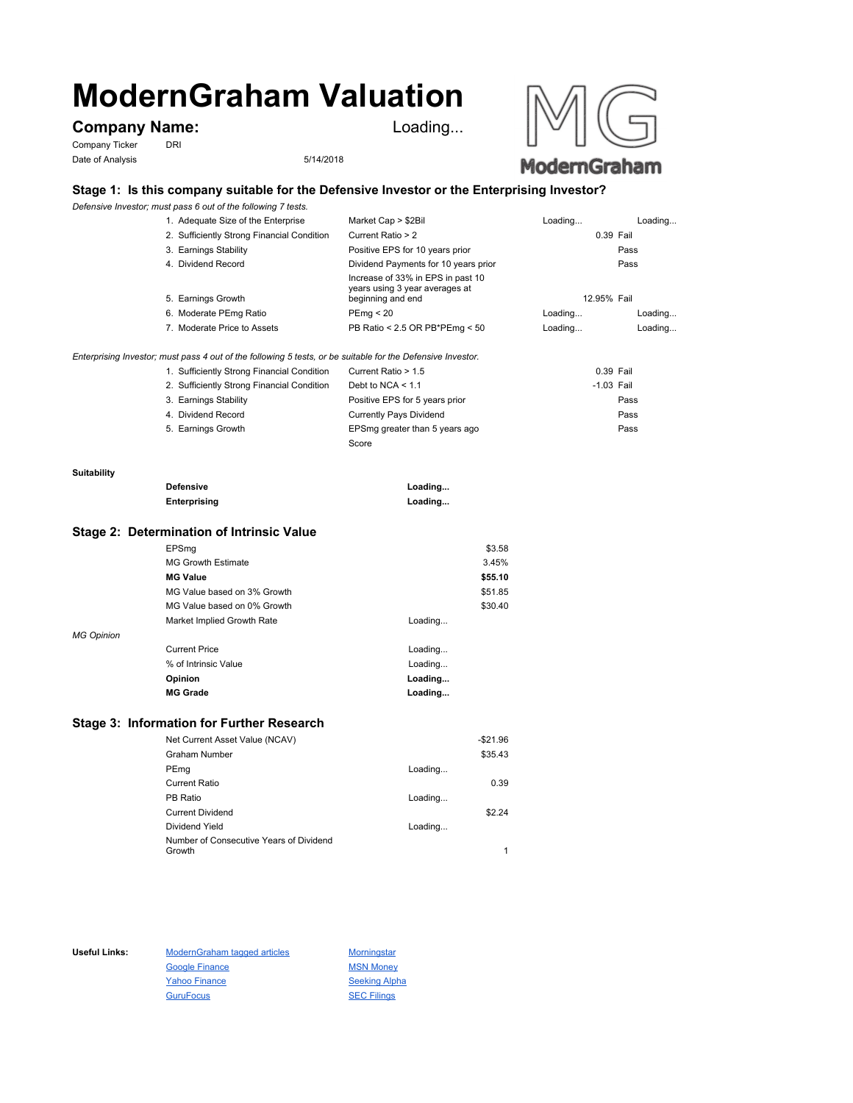# **ModernGraham Valuation**

## Company Name: **Loading...**

Company Ticker DRI Date of Analysis 5/14/2018



## **Stage 1: Is this company suitable for the Defensive Investor or the Enterprising Investor?**

*Defensive Investor; must pass 6 out of the following 7 tests.*

|                    | 1. Adequate Size of the Enterprise                                                                          | Market Cap > \$2Bil                                                                      | Loading      | Loading |
|--------------------|-------------------------------------------------------------------------------------------------------------|------------------------------------------------------------------------------------------|--------------|---------|
|                    | 2. Sufficiently Strong Financial Condition                                                                  | Current Ratio > 2                                                                        | 0.39 Fail    |         |
|                    | 3. Earnings Stability                                                                                       | Positive EPS for 10 years prior                                                          |              | Pass    |
|                    | 4. Dividend Record                                                                                          | Dividend Payments for 10 years prior                                                     |              | Pass    |
|                    | 5. Earnings Growth                                                                                          | Increase of 33% in EPS in past 10<br>years using 3 year averages at<br>beginning and end | 12.95% Fail  |         |
|                    | 6. Moderate PEmg Ratio                                                                                      | PEmq < 20                                                                                | Loading      | Loading |
|                    | 7. Moderate Price to Assets                                                                                 | PB Ratio < 2.5 OR PB*PEmg < 50                                                           | Loading      | Loading |
|                    | Enterprising Investor; must pass 4 out of the following 5 tests, or be suitable for the Defensive Investor. |                                                                                          |              |         |
|                    | 1. Sufficiently Strong Financial Condition                                                                  | Current Ratio > 1.5                                                                      | 0.39 Fail    |         |
|                    | 2. Sufficiently Strong Financial Condition                                                                  | Debt to NCA $<$ 1.1                                                                      | $-1.03$ Fail |         |
|                    | 3. Earnings Stability                                                                                       | Positive EPS for 5 years prior                                                           |              | Pass    |
|                    | 4. Dividend Record                                                                                          | <b>Currently Pays Dividend</b>                                                           |              | Pass    |
|                    | 5. Earnings Growth                                                                                          | EPSmg greater than 5 years ago                                                           |              | Pass    |
|                    |                                                                                                             | Score                                                                                    |              |         |
| <b>Suitability</b> |                                                                                                             |                                                                                          |              |         |
|                    | <b>Defensive</b>                                                                                            | Loading                                                                                  |              |         |
|                    | Enterprising                                                                                                | Loading                                                                                  |              |         |
|                    | Stage 2: Determination of Intrinsic Value                                                                   |                                                                                          |              |         |
|                    | EPSmg                                                                                                       | \$3.58                                                                                   |              |         |
|                    | <b>MG Growth Estimate</b>                                                                                   | 3.45%                                                                                    |              |         |
|                    | <b>MG Value</b>                                                                                             | \$55.10                                                                                  |              |         |
|                    | MG Value based on 3% Growth                                                                                 | \$51.85                                                                                  |              |         |
|                    | MG Value based on 0% Growth                                                                                 | \$30.40                                                                                  |              |         |
|                    | Market Implied Growth Rate                                                                                  | Loading                                                                                  |              |         |

#### *MG Opinion*

| <b>MG Grade</b>      | Loading |
|----------------------|---------|
| Opinion              | Loading |
| % of Intrinsic Value | Loading |
| <b>Current Price</b> | Loading |

### **Stage 3: Information for Further Research**

| Net Current Asset Value (NCAV)                    | $-$ \$21.96 |
|---------------------------------------------------|-------------|
| Graham Number                                     | \$35.43     |
| PEmg                                              | Loading     |
| <b>Current Ratio</b>                              | 0.39        |
| PB Ratio                                          | Loading     |
| <b>Current Dividend</b>                           | \$2.24      |
| Dividend Yield                                    | Loading     |
| Number of Consecutive Years of Dividend<br>Growth |             |
|                                                   |             |

Useful Links: ModernGraham tagged articles Morningstar Google Finance MSN Money Yahoo Finance Seeking Alpha GuruFocus SEC Filings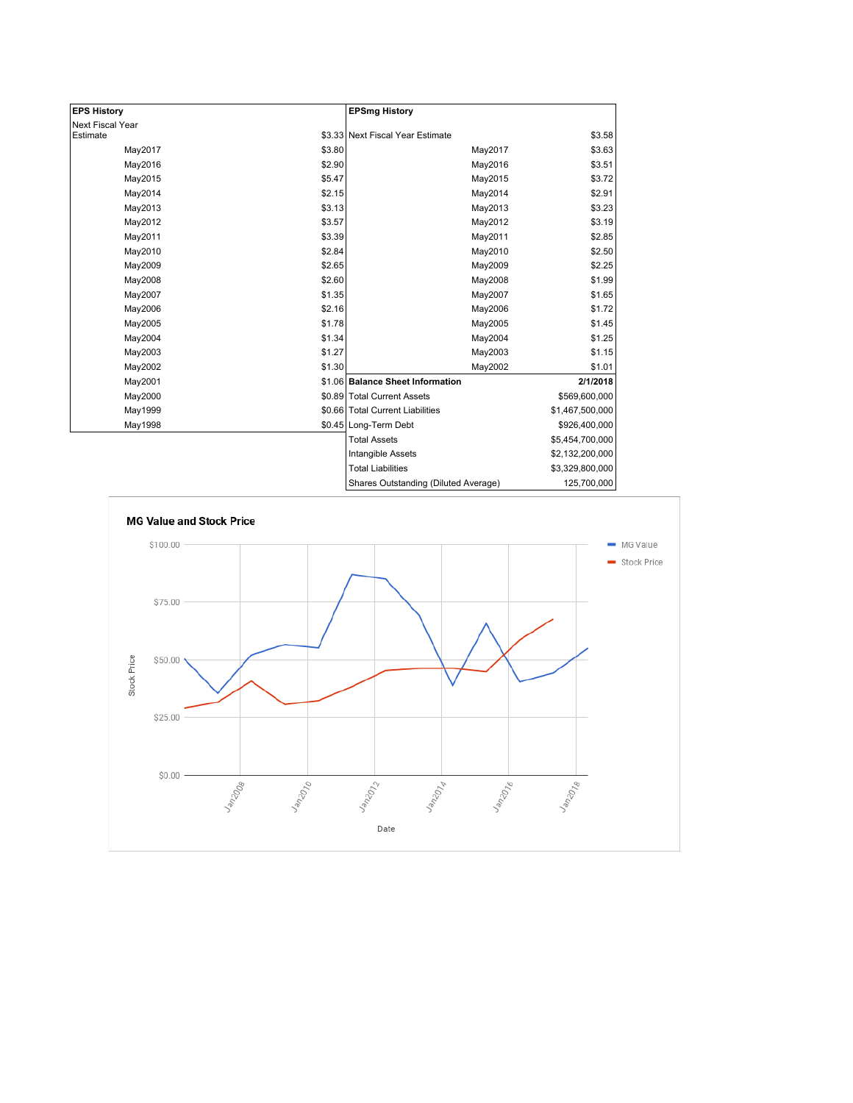| <b>EPS History</b> |        | <b>EPSmg History</b>                 |                 |
|--------------------|--------|--------------------------------------|-----------------|
| Next Fiscal Year   |        |                                      |                 |
| Estimate           |        | \$3.33 Next Fiscal Year Estimate     | \$3.58          |
| May2017            | \$3.80 | May2017                              | \$3.63          |
| May2016            | \$2.90 | May2016                              | \$3.51          |
| May2015            | \$5.47 | May2015                              | \$3.72          |
| May2014            | \$2.15 | May2014                              | \$2.91          |
| May2013            | \$3.13 | May2013                              | \$3.23          |
| May2012            | \$3.57 | May2012                              | \$3.19          |
| May2011            | \$3.39 | May2011                              | \$2.85          |
| May2010            | \$2.84 | May2010                              | \$2.50          |
| May2009            | \$2.65 | May2009                              | \$2.25          |
| May2008            | \$2.60 | May2008                              | \$1.99          |
| May2007            | \$1.35 | May2007                              | \$1.65          |
| May2006            | \$2.16 | May2006                              | \$1.72          |
| May2005            | \$1.78 | May2005                              | \$1.45          |
| May2004            | \$1.34 | May2004                              | \$1.25          |
| May2003            | \$1.27 | May2003                              | \$1.15          |
| May2002            | \$1.30 | May2002                              | \$1.01          |
| May2001            |        | \$1.06 Balance Sheet Information     | 2/1/2018        |
| May2000            |        | \$0.89 Total Current Assets          | \$569,600,000   |
| May1999            |        | \$0.66 Total Current Liabilities     | \$1,467,500,000 |
| May1998            |        | \$0.45 Long-Term Debt                | \$926,400,000   |
|                    |        | <b>Total Assets</b>                  | \$5,454,700,000 |
|                    |        | Intangible Assets                    | \$2,132,200,000 |
|                    |        | <b>Total Liabilities</b>             | \$3,329,800,000 |
|                    |        | Shares Outstanding (Diluted Average) | 125,700,000     |